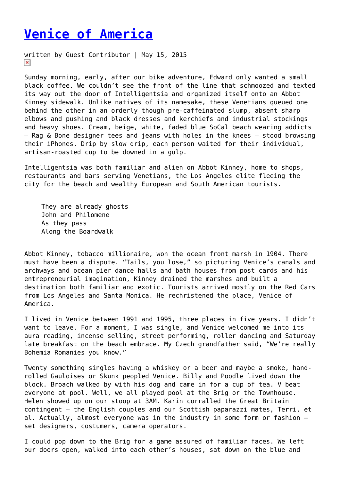## **[Venice of America](https://entropymag.org/venice-of-america/)**

written by Guest Contributor | May 15, 2015  $\pmb{\times}$ 

Sunday morning, early, after our bike adventure, Edward only wanted a small black coffee. We couldn't see the front of the line that schmoozed and texted its way out the door of Intelligentsia and organized itself onto an Abbot Kinney sidewalk. Unlike natives of its namesake, these Venetians queued one behind the other in an orderly though pre-caffeinated slump, absent sharp elbows and pushing and black dresses and kerchiefs and industrial stockings and heavy shoes. Cream, beige, white, faded blue SoCal beach wearing addicts – Rag & Bone designer tees and jeans with holes in the knees – stood browsing their iPhones. Drip by slow drip, each person waited for their individual, artisan-roasted cup to be downed in a gulp.

Intelligentsia was both familiar and alien on Abbot Kinney, home to shops, restaurants and bars serving Venetians, the Los Angeles elite fleeing the city for the beach and wealthy European and South American tourists.

They are already ghosts John and Philomene As they pass Along the Boardwalk

Abbot Kinney, tobacco millionaire, won the ocean front marsh in 1904. There must have been a dispute. "Tails, you lose," so picturing Venice's canals and archways and ocean pier dance halls and bath houses from post cards and his entrepreneurial imagination, Kinney drained the marshes and built a destination both familiar and exotic. Tourists arrived mostly on the Red Cars from Los Angeles and Santa Monica. He rechristened the place, Venice of America.

I lived in Venice between 1991 and 1995, three places in five years. I didn't want to leave. For a moment, I was single, and Venice welcomed me into its aura reading, incense selling, street performing, roller dancing and Saturday late breakfast on the beach embrace. My Czech grandfather said, "We're really Bohemia Romanies you know."

Twenty something singles having a whiskey or a beer and maybe a smoke, handrolled Gauloises or Skunk peopled Venice. Billy and Poodle lived down the block. Broach walked by with his dog and came in for a cup of tea. V beat everyone at pool. Well, we all played pool at the Brig or the Townhouse. Helen showed up on our stoop at 3AM. Karin corralled the Great Britain contingent – the English couples and our Scottish paparazzi mates, Terri, et al. Actually, almost everyone was in the industry in some form or fashion – set designers, costumers, camera operators.

I could pop down to the Brig for a game assured of familiar faces. We left our doors open, walked into each other's houses, sat down on the blue and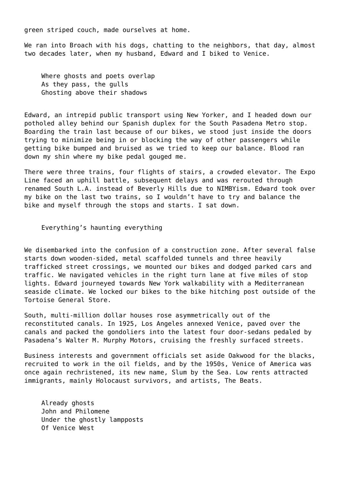green striped couch, made ourselves at home.

We ran into Broach with his dogs, chatting to the neighbors, that day, almost two decades later, when my husband, Edward and I biked to Venice.

Where ghosts and poets overlap As they pass, the gulls Ghosting above their shadows

Edward, an intrepid public transport using New Yorker, and I headed down our potholed alley behind our Spanish duplex for the South Pasadena Metro stop. Boarding the train last because of our bikes, we stood just inside the doors trying to minimize being in or blocking the way of other passengers while getting bike bumped and bruised as we tried to keep our balance. Blood ran down my shin where my bike pedal gouged me.

There were three trains, four flights of stairs, a crowded elevator. The Expo Line faced an uphill battle, subsequent delays and was rerouted through renamed South L.A. instead of Beverly Hills due to NIMBYism. Edward took over my bike on the last two trains, so I wouldn't have to try and balance the bike and myself through the stops and starts. I sat down.

Everything's haunting everything

We disembarked into the confusion of a construction zone. After several false starts down wooden-sided, metal scaffolded tunnels and three heavily trafficked street crossings, we mounted our bikes and dodged parked cars and traffic. We navigated vehicles in the right turn lane at five miles of stop lights. Edward journeyed towards New York walkability with a Mediterranean seaside climate. We locked our bikes to the bike hitching post outside of the Tortoise General Store.

South, multi-million dollar houses rose asymmetrically out of the reconstituted canals. In 1925, Los Angeles annexed Venice, paved over the canals and packed the gondoliers into the latest four door-sedans pedaled by Pasadena's Walter M. Murphy Motors, cruising the freshly surfaced streets.

Business interests and government officials set aside Oakwood for the blacks, recruited to work in the oil fields, and by the 1950s, Venice of America was once again rechristened, its new name, Slum by the Sea. Low rents attracted immigrants, mainly Holocaust survivors, and artists, The Beats.

Already ghosts John and Philomene Under the ghostly lampposts Of Venice West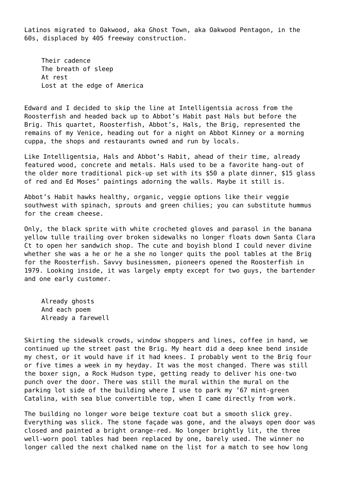Latinos migrated to Oakwood, aka Ghost Town, aka Oakwood Pentagon, in the 60s, displaced by 405 freeway construction.

Their cadence The breath of sleep At rest Lost at the edge of America

Edward and I decided to skip the line at Intelligentsia across from the Roosterfish and headed back up to Abbot's Habit past Hals but before the Brig. This quartet, Roosterfish, Abbot's, Hals, the Brig, represented the remains of my Venice, heading out for a night on Abbot Kinney or a morning cuppa, the shops and restaurants owned and run by locals.

Like Intelligentsia, Hals and Abbot's Habit, ahead of their time, already featured wood, concrete and metals. Hals used to be a favorite hang-out of the older more traditional pick-up set with its \$50 a plate dinner, \$15 glass of red and Ed Moses' paintings adorning the walls. Maybe it still is.

Abbot's Habit hawks healthy, organic, veggie options like their veggie southwest with spinach, sprouts and green chilies; you can substitute hummus for the cream cheese.

Only, the black sprite with white crocheted gloves and parasol in the banana yellow tulle trailing over broken sidewalks no longer floats down Santa Clara Ct to open her sandwich shop. The cute and boyish blond I could never divine whether she was a he or he a she no longer quits the pool tables at the Brig for the Roosterfish. Savvy businessmen, pioneers opened the Roosterfish in 1979. Looking inside, it was largely empty except for two guys, the bartender and one early customer.

Already ghosts And each poem Already a farewell

Skirting the sidewalk crowds, window shoppers and lines, coffee in hand, we continued up the street past the Brig. My heart did a deep knee bend inside my chest, or it would have if it had knees. I probably went to the Brig four or five times a week in my heyday. It was the most changed. There was still the boxer sign, a Rock Hudson type, getting ready to deliver his one-two punch over the door. There was still the mural within the mural on the parking lot side of the building where I use to park my '67 mint-green Catalina, with sea blue convertible top, when I came directly from work.

The building no longer wore beige texture coat but a smooth slick grey. Everything was slick. The stone façade was gone, and the always open door was closed and painted a bright orange-red. No longer brightly lit, the three well-worn pool tables had been replaced by one, barely used. The winner no longer called the next chalked name on the list for a match to see how long